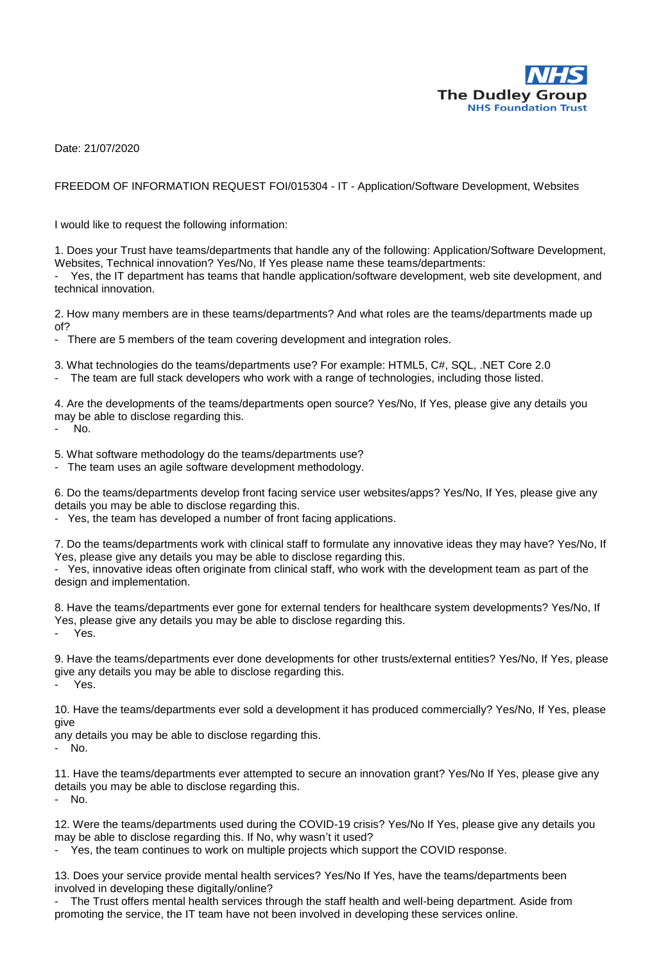

Date: 21/07/2020

FREEDOM OF INFORMATION REQUEST FOI/015304 - IT - Application/Software Development, Websites

I would like to request the following information:

1. Does your Trust have teams/departments that handle any of the following: Application/Software Development, Websites, Technical innovation? Yes/No, If Yes please name these teams/departments:

Yes, the IT department has teams that handle application/software development, web site development, and technical innovation.

2. How many members are in these teams/departments? And what roles are the teams/departments made up of?

There are 5 members of the team covering development and integration roles.

3. What technologies do the teams/departments use? For example: HTML5, C#, SQL, .NET Core 2.0

The team are full stack developers who work with a range of technologies, including those listed.

4. Are the developments of the teams/departments open source? Yes/No, If Yes, please give any details you may be able to disclose regarding this.

No.

5. What software methodology do the teams/departments use?

- The team uses an agile software development methodology.

6. Do the teams/departments develop front facing service user websites/apps? Yes/No, If Yes, please give any details you may be able to disclose regarding this.

- Yes, the team has developed a number of front facing applications.

7. Do the teams/departments work with clinical staff to formulate any innovative ideas they may have? Yes/No, If Yes, please give any details you may be able to disclose regarding this.

Yes, innovative ideas often originate from clinical staff, who work with the development team as part of the design and implementation.

8. Have the teams/departments ever gone for external tenders for healthcare system developments? Yes/No, If Yes, please give any details you may be able to disclose regarding this. Yes.

9. Have the teams/departments ever done developments for other trusts/external entities? Yes/No, If Yes, please give any details you may be able to disclose regarding this. Yes.

10. Have the teams/departments ever sold a development it has produced commercially? Yes/No, If Yes, please give

any details you may be able to disclose regarding this.

- No.

11. Have the teams/departments ever attempted to secure an innovation grant? Yes/No If Yes, please give any details you may be able to disclose regarding this.

- No.

12. Were the teams/departments used during the COVID-19 crisis? Yes/No If Yes, please give any details you may be able to disclose regarding this. If No, why wasn't it used?

- Yes, the team continues to work on multiple projects which support the COVID response.

13. Does your service provide mental health services? Yes/No If Yes, have the teams/departments been involved in developing these digitally/online?

The Trust offers mental health services through the staff health and well-being department. Aside from promoting the service, the IT team have not been involved in developing these services online.